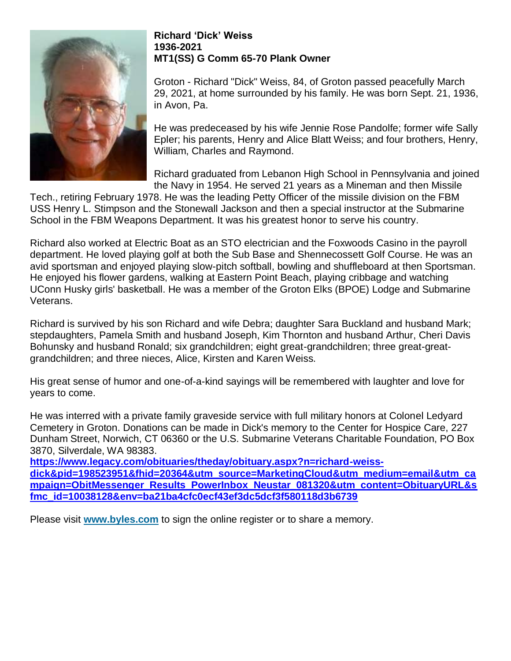

## **Richard 'Dick' Weiss 1936-2021 MT1(SS) G Comm 65-70 Plank Owner**

Groton - Richard "Dick" Weiss, 84, of Groton passed peacefully March 29, 2021, at home surrounded by his family. He was born Sept. 21, 1936, in Avon, Pa.

He was predeceased by his wife Jennie Rose Pandolfe; former wife Sally Epler; his parents, Henry and Alice Blatt Weiss; and four brothers, Henry, William, Charles and Raymond.

Richard graduated from Lebanon High School in Pennsylvania and joined the Navy in 1954. He served 21 years as a Mineman and then Missile

Tech., retiring February 1978. He was the leading Petty Officer of the missile division on the FBM USS Henry L. Stimpson and the Stonewall Jackson and then a special instructor at the Submarine School in the FBM Weapons Department. It was his greatest honor to serve his country.

Richard also worked at Electric Boat as an STO electrician and the Foxwoods Casino in the payroll department. He loved playing golf at both the Sub Base and Shennecossett Golf Course. He was an avid sportsman and enjoyed playing slow-pitch softball, bowling and shuffleboard at then Sportsman. He enjoyed his flower gardens, walking at Eastern Point Beach, playing cribbage and watching UConn Husky girls' basketball. He was a member of the Groton Elks (BPOE) Lodge and Submarine Veterans.

Richard is survived by his son Richard and wife Debra; daughter Sara Buckland and husband Mark; stepdaughters, Pamela Smith and husband Joseph, Kim Thornton and husband Arthur, Cheri Davis Bohunsky and husband Ronald; six grandchildren; eight great-grandchildren; three great-greatgrandchildren; and three nieces, Alice, Kirsten and Karen Weiss.

His great sense of humor and one-of-a-kind sayings will be remembered with laughter and love for years to come.

He was interred with a private family graveside service with full military honors at Colonel Ledyard Cemetery in Groton. Donations can be made in Dick's memory to the Center for Hospice Care, 227 Dunham Street, Norwich, CT 06360 or the U.S. Submarine Veterans Charitable Foundation, PO Box 3870, Silverdale, WA 98383.

**[https://www.legacy.com/obituaries/theday/obituary.aspx?n=richard-weiss](https://www.legacy.com/obituaries/theday/obituary.aspx?n=richard-weiss-dick&pid=198523951&fhid=20364&utm_source=MarketingCloud&utm_medium=email&utm_campaign=ObitMessenger_Results_PowerInbox_Neustar_081320&utm_content=ObituaryURL&sfmc_id=10038128&env=ba21ba4cfc0ecf43ef3dc5dcf3f580118d3b6739)[dick&pid=198523951&fhid=20364&utm\\_source=MarketingCloud&utm\\_medium=email&utm\\_ca](https://www.legacy.com/obituaries/theday/obituary.aspx?n=richard-weiss-dick&pid=198523951&fhid=20364&utm_source=MarketingCloud&utm_medium=email&utm_campaign=ObitMessenger_Results_PowerInbox_Neustar_081320&utm_content=ObituaryURL&sfmc_id=10038128&env=ba21ba4cfc0ecf43ef3dc5dcf3f580118d3b6739) [mpaign=ObitMessenger\\_Results\\_PowerInbox\\_Neustar\\_081320&utm\\_content=ObituaryURL&s](https://www.legacy.com/obituaries/theday/obituary.aspx?n=richard-weiss-dick&pid=198523951&fhid=20364&utm_source=MarketingCloud&utm_medium=email&utm_campaign=ObitMessenger_Results_PowerInbox_Neustar_081320&utm_content=ObituaryURL&sfmc_id=10038128&env=ba21ba4cfc0ecf43ef3dc5dcf3f580118d3b6739)**

**[fmc\\_id=10038128&env=ba21ba4cfc0ecf43ef3dc5dcf3f580118d3b6739](https://www.legacy.com/obituaries/theday/obituary.aspx?n=richard-weiss-dick&pid=198523951&fhid=20364&utm_source=MarketingCloud&utm_medium=email&utm_campaign=ObitMessenger_Results_PowerInbox_Neustar_081320&utm_content=ObituaryURL&sfmc_id=10038128&env=ba21ba4cfc0ecf43ef3dc5dcf3f580118d3b6739)**

Please visit **[www.byles.com](http://www.byles.com/)** to sign the online register or to share a memory.